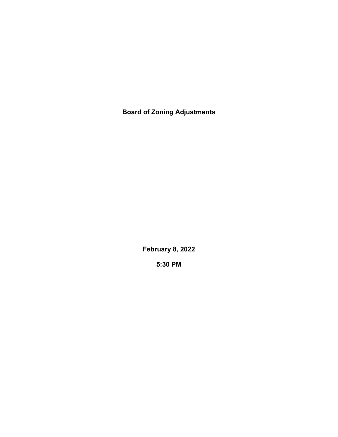**Board of Zoning Adjustments**

**February 8, 2022**

**5:30 PM**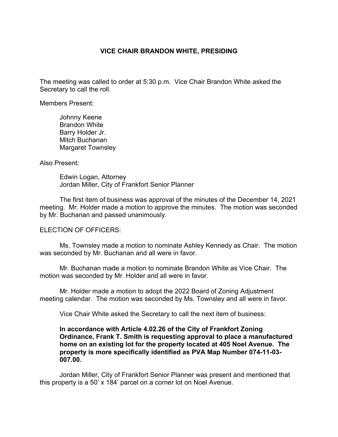## **VICE CHAIR BRANDON WHITE, PRESIDING**

The meeting was called to order at 5:30 p.m. Vice Chair Brandon White asked the Secretary to call the roll.

Members Present:

Johnny Keene Brandon White Barry Holder Jr. Mitch Buchanan Margaret Townsley

Also Present:

Edwin Logan, Attorney Jordan Miller, City of Frankfort Senior Planner

The first item of business was approval of the minutes of the December 14, 2021 meeting. Mr. Holder made a motion to approve the minutes. The motion was seconded by Mr. Buchanan and passed unanimously.

ELECTION OF OFFICERS:

Ms. Townsley made a motion to nominate Ashley Kennedy as Chair. The motion was seconded by Mr. Buchanan and all were in favor.

Mr. Buchanan made a motion to nominate Brandon White as Vice Chair. The motion was seconded by Mr. Holder and all were in favor.

Mr. Holder made a motion to adopt the 2022 Board of Zoning Adjustment meeting calendar. The motion was seconded by Ms. Townsley and all were in favor.

Vice Chair White asked the Secretary to call the next item of business:

## **In accordance with Article 4.02.26 of the City of Frankfort Zoning Ordinance, Frank T. Smith is requesting approval to place a manufactured home on an existing lot for the property located at 405 Noel Avenue. The property is more specifically identified as PVA Map Number 074-11-03- 007.00.**

Jordan Miller, City of Frankfort Senior Planner was present and mentioned that this property is a 50' x 184' parcel on a corner lot on Noel Avenue.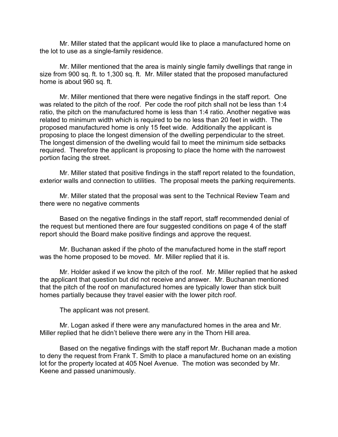Mr. Miller stated that the applicant would like to place a manufactured home on the lot to use as a single-family residence.

Mr. Miller mentioned that the area is mainly single family dwellings that range in size from 900 sq. ft. to 1,300 sq. ft. Mr. Miller stated that the proposed manufactured home is about 960 sq. ft.

Mr. Miller mentioned that there were negative findings in the staff report. One was related to the pitch of the roof. Per code the roof pitch shall not be less than 1:4 ratio, the pitch on the manufactured home is less than 1:4 ratio. Another negative was related to minimum width which is required to be no less than 20 feet in width. The proposed manufactured home is only 15 feet wide. Additionally the applicant is proposing to place the longest dimension of the dwelling perpendicular to the street. The longest dimension of the dwelling would fail to meet the minimum side setbacks required. Therefore the applicant is proposing to place the home with the narrowest portion facing the street.

Mr. Miller stated that positive findings in the staff report related to the foundation, exterior walls and connection to utilities. The proposal meets the parking requirements.

Mr. Miller stated that the proposal was sent to the Technical Review Team and there were no negative comments

Based on the negative findings in the staff report, staff recommended denial of the request but mentioned there are four suggested conditions on page 4 of the staff report should the Board make positive findings and approve the request.

Mr. Buchanan asked if the photo of the manufactured home in the staff report was the home proposed to be moved. Mr. Miller replied that it is.

Mr. Holder asked if we know the pitch of the roof. Mr. Miller replied that he asked the applicant that question but did not receive and answer. Mr. Buchanan mentioned that the pitch of the roof on manufactured homes are typically lower than stick built homes partially because they travel easier with the lower pitch roof.

The applicant was not present.

Mr. Logan asked if there were any manufactured homes in the area and Mr. Miller replied that he didn't believe there were any in the Thorn Hill area.

Based on the negative findings with the staff report Mr. Buchanan made a motion to deny the request from Frank T. Smith to place a manufactured home on an existing lot for the property located at 405 Noel Avenue. The motion was seconded by Mr. Keene and passed unanimously.